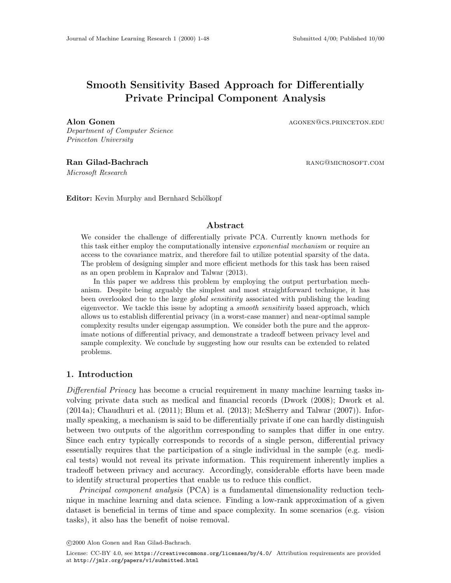# Smooth Sensitivity Based Approach for Differentially Private Principal Component Analysis

Department of Computer Science Princeton University

Microsoft Research

Alon Gonen and agone agone agone and a series and agone agone agone and agone agone agone agone and agone agone agone and agone agone agone agone agone agone agone agone agone agone agone agone agone agone agone agone agon

Ran Gilad-Bachrach **range in the set of the California** RANG@MICROSOFT.COM

Editor: Kevin Murphy and Bernhard Schölkopf

#### Abstract

We consider the challenge of differentially private PCA. Currently known methods for this task either employ the computationally intensive *exponential mechanism* or require an access to the covariance matrix, and therefore fail to utilize potential sparsity of the data. The problem of designing simpler and more efficient methods for this task has been raised as an open problem in [Kapralov and Talwar](#page-12-0) [\(2013\)](#page-12-0).

In this paper we address this problem by employing the output perturbation mechanism. Despite being arguably the simplest and most straightforward technique, it has been overlooked due to the large *global sensitivity* associated with publishing the leading eigenvector. We tackle this issue by adopting a *smooth sensitivity* based approach, which allows us to establish differential privacy (in a worst-case manner) and near-optimal sample complexity results under eigengap assumption. We consider both the pure and the approximate notions of differential privacy, and demonstrate a tradeoff between privacy level and sample complexity. We conclude by suggesting how our results can be extended to related problems.

### 1. Introduction

Differential Privacy has become a crucial requirement in many machine learning tasks involving private data such as medical and financial records [\(Dwork](#page-11-0) [\(2008\)](#page-11-0); [Dwork et al.](#page-11-1) [\(2014a\)](#page-11-1); [Chaudhuri et al.](#page-11-2) [\(2011\)](#page-11-2); [Blum et al.](#page-11-3) [\(2013\)](#page-11-3); [McSherry and Talwar](#page-12-1) [\(2007\)](#page-12-1)). Informally speaking, a mechanism is said to be differentially private if one can hardly distinguish between two outputs of the algorithm corresponding to samples that differ in one entry. Since each entry typically corresponds to records of a single person, differential privacy essentially requires that the participation of a single individual in the sample (e.g. medical tests) would not reveal its private information. This requirement inherently implies a tradeoff between privacy and accuracy. Accordingly, considerable efforts have been made to identify structural properties that enable us to reduce this conflict.

Principal component analysis (PCA) is a fundamental dimensionality reduction technique in machine learning and data science. Finding a low-rank approximation of a given dataset is beneficial in terms of time and space complexity. In some scenarios (e.g. vision tasks), it also has the benefit of noise removal.

c 2000 Alon Gonen and Ran Gilad-Bachrach.

License: CC-BY 4.0, see <https://creativecommons.org/licenses/by/4.0/>. Attribution requirements are provided at <http://jmlr.org/papers/v1/submitted.html>.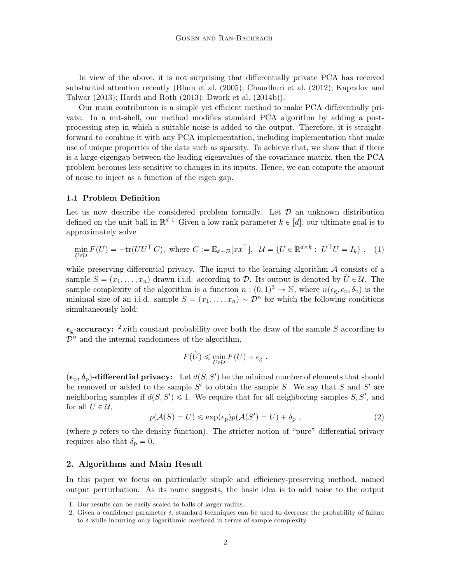In view of the above, it is not surprising that differentially private PCA has received substantial attention recently [\(Blum et al.](#page-11-4) [\(2005\)](#page-11-4); [Chaudhuri et al.](#page-11-5) [\(2012\)](#page-11-5); [Kapralov and](#page-12-0) [Talwar](#page-12-0) [\(2013\)](#page-12-0); [Hardt and Roth](#page-12-2) [\(2013\)](#page-12-2); [Dwork et al.](#page-11-6) [\(2014b\)](#page-11-6)).

Our main contribution is a simple yet efficient method to make PCA differentially private. In a nut-shell, our method modifies standard PCA algorithm by adding a postprocessing step in which a suitable noise is added to the output. Therefore, it is straightforward to combine it with any PCA implementation, including implementation that make use of unique properties of the data such as sparsity. To achieve that, we show that if there is a large eigengap between the leading eigenvalues of the covariance matrix, then the PCA problem becomes less sensitive to changes in its inputs. Hence, we can compute the amount of noise to inject as a function of the eigen gap.

#### 1.1 Problem Definition

Let us now describe the considered problem formally. Let  $\mathcal D$  an unknown distribution defined on the unit ball in  $\mathbb{R}^{d}$ . Given a low-rank parameter  $k \in [d]$ , our ultimate goal is to approximately solve

$$
\min_{U \in \mathcal{U}} F(U) = -\text{tr}(UU^\top C), \text{ where } C := \mathbb{E}_{x \sim \mathcal{D}}[xx^\top], \quad \mathcal{U} = \{U \in \mathbb{R}^{d \times k} : U^\top U = I_k\}, \quad (1)
$$

while preserving differential privacy. The input to the learning algorithm  $\mathcal A$  consists of a sample  $S = (x_1, \ldots, x_n)$  drawn i.i.d. according to D. Its output is denoted by  $\hat{U} \in \mathcal{U}$ . The sample complexity of the algorithm is a function  $n:(0,1)^3 \to \mathbb{N}$ , where  $n(\epsilon_{\text{g}}, \epsilon_{\text{p}}, \delta_{\text{p}})$  is the minimal size of an i.i.d. sample  $S = (x_1, \ldots, x_n) \sim \mathcal{D}^n$  for which the following conditions simultaneously hold:

 $\epsilon_{\rm g}$ -accuracy: <sup>[2](#page-1-1)</sup>with constant probability over both the draw of the sample S according to  $\mathcal{D}^n$  and the internal randomness of the algorithm,

$$
F(\hat{U}) \leq \min_{U \in \mathcal{U}} F(U) + \epsilon_{\mathbf{g}}.
$$

 $(\epsilon_{\rm p}, \delta_{\rm p})$ -differential privacy: Let  $d(S, S')$  be the minimal number of elements that should be removed or added to the sample  $S'$  to obtain the sample S. We say that S and S' are neighboring samples if  $d(S, S') \leq 1$ . We require that for all neighboring samples S, S', and for all  $U \in \mathcal{U}$ ,

$$
p(\mathcal{A}(S) = U) \le \exp(\epsilon_{\mathbf{p}})p(\mathcal{A}(S') = U) + \delta_{\mathbf{p}} ,
$$
\n(2)

(where p refers to the density function). The stricter notion of "pure" differential privacy requires also that  $\delta_{\rm p} = 0$ .

### 2. Algorithms and Main Result

In this paper we focus on particularly simple and efficiency-preserving method, named output perturbation. As its name suggests, the basic idea is to add noise to the output

<span id="page-1-0"></span><sup>1.</sup> Our results can be easily scaled to balls of larger radius.

<span id="page-1-1"></span><sup>2.</sup> Given a confidence parameter  $\delta$ , standard techniques can be used to decrease the probability of failure to  $\delta$  while incurring only logarithmic overhead in terms of sample complexity.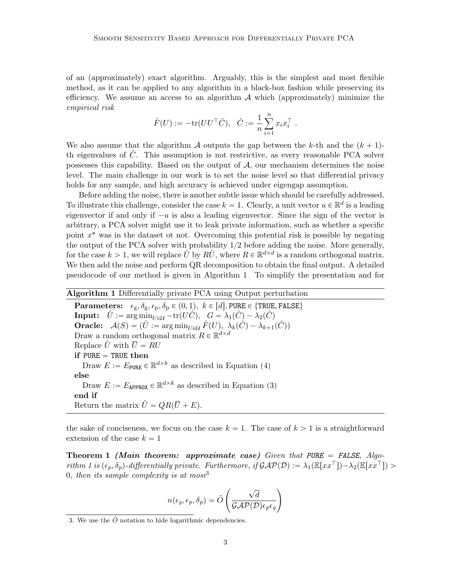of an (approximately) exact algorithm. Arguably, this is the simplest and most flexible method, as it can be applied to any algorithm in a black-box fashion while preserving its efficiency. We assume an access to an algorithm  $A$  which (approximately) minimize the empirical risk

$$
\hat{F}(U):=-\text{tr}(UU^\top \hat{C}),\ \ \hat{C}:=\frac{1}{n}\sum_{i=1}^n x_ix_i^\top\ .
$$

We also assume that the algorithm A outputs the gap between the k-th and the  $(k + 1)$ th eigenvalues of  $C$ . This assumption is not restrictive, as every reasonable PCA solver possesses this capability. Based on the output of  $A$ , our mechanism determines the noise level. The main challenge in our work is to set the noise level so that differential privacy holds for any sample, and high accuracy is achieved under eigengap assumption.

Before adding the noise, there is another subtle issue which should be carefully addressed. To illustrate this challenge, consider the case  $k = 1$ . Clearly, a unit vector  $u \in \mathbb{R}^d$  is a leading eigenvector if and only if  $-u$  is also a leading eigenvector. Since the sign of the vector is arbitrary, a PCA solver might use it to leak private information, such as whether a specific point  $x^*$  was in the dataset ot not. Overcoming this potential risk is possible by negating the output of the PCA solver with probability  $1/2$  before adding the noise. More generally, for the case  $k > 1$ , we will replace  $\hat{U}$  by  $R\hat{U}$ , where  $R \in \mathbb{R}^{d \times d}$  is a random orthogonal matrix. We then add the noise and perform QR decomposition to obtain the final output. A detailed pseudocode of our method is given in Algorithm [1.](#page-2-0) To simplify the presentation and for

<span id="page-2-0"></span>Algorithm 1 Differentially private PCA using Output perturbation **Parameters:**  $\epsilon_{\text{g}}, \delta_{\text{g}}, \epsilon_{\text{p}}, \delta_{\text{p}} \in (0, 1), \ k \in [d], \text{PURE} \in \{\text{TRUE}, \text{FALSE}\}$ **Input:**  $\hat{U}$  :=  $\arg\min_{U \in \mathcal{U}} -\text{tr}(U\hat{C}), \quad G = \lambda_1(\hat{C}) - \lambda_2(\hat{C})$ **Oracle:**  $\mathcal{A}(S) = (\tilde{U} := \arg\min_{U \in \mathcal{U}} \hat{F}(U), \lambda_k(\hat{C}) - \lambda_{k+1}(\hat{C}))$ Draw a random orthogonal matrix  $R \in \mathbb{R}^{d \times d}$ Replace  $\hat{U}$  with  $\overline{U} = RU$ if  $PURE = TRUE$  then Draw  $E := E_{\text{PURE}} \in \mathbb{R}^{d \times k}$  as described in Equation [\(4\)](#page-8-0) else Draw  $E := E_{\text{APPROX}} \in \mathbb{R}^{d \times k}$  as described in Equation [\(3\)](#page-7-0) end if Return the matrix  $\tilde{U} = QR(\overline{U} + E)$ .

the sake of conciseness, we focus on the case  $k = 1$ . The case of  $k > 1$  is a straightforward extension of the case  $k = 1$ 

Theorem 1 (Main theorem: approximate case) Given that PURE = FALSE, Algo-rithm [1](#page-2-0) is  $(\epsilon_p, \delta_p)$ -differentially private. Furthermore, if  $\mathcal{GAP}(\mathcal{D}) := \lambda_1(\mathbb{E}[xx^\top]) - \lambda_2(\mathbb{E}[xx^\top]) >$ 0, then its sample complexity is at most<sup>[3](#page-2-1)</sup>

<span id="page-2-2"></span>
$$
n(\epsilon_g, \epsilon_p, \delta_p) = \tilde{O}\left(\frac{\sqrt{d}}{\mathcal{GAP}(D)\epsilon_p \epsilon_g}\right)
$$

<span id="page-2-3"></span><span id="page-2-1"></span><sup>3.</sup> We use the  $\tilde{O}$  notation to hide logarithmic dependencies.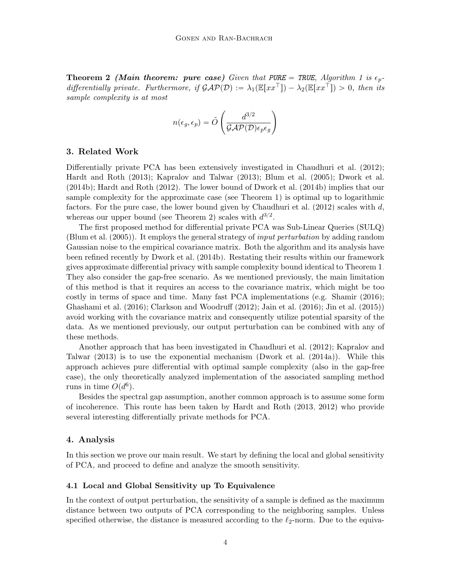**Theorem 2** (Main theorem: pure case) Given that PURE = TRUE, Algorithm [1](#page-2-0) is  $\epsilon_p$ differentially private. Furthermore, if  $\mathcal{GAP(D)} := \lambda_1(\mathbb{E}[xx^\top]) - \lambda_2(\mathbb{E}[xx^\top]) > 0$ , then its sample complexity is at most

$$
n(\epsilon_g, \epsilon_p) = \tilde{O}\left(\frac{d^{3/2}}{\mathcal{GAP}(D)\epsilon_p \epsilon_g}\right)
$$

#### 3. Related Work

Differentially private PCA has been extensively investigated in [Chaudhuri et al.](#page-11-5) [\(2012\)](#page-11-5); [Hardt and Roth](#page-12-2) [\(2013\)](#page-12-2); [Kapralov and Talwar](#page-12-0) [\(2013\)](#page-12-0); [Blum et al.](#page-11-4) [\(2005\)](#page-11-4); [Dwork et al.](#page-11-6) [\(2014b\)](#page-11-6); [Hardt and Roth](#page-12-3) [\(2012\)](#page-12-3). The lower bound of [Dwork et al.](#page-11-6) [\(2014b\)](#page-11-6) implies that our sample complexity for the approximate case (see Theorem [1\)](#page-2-2) is optimal up to logarithmic factors. For the pure case, the lower bound given by [Chaudhuri et al.](#page-11-5)  $(2012)$  scales with d, whereas our upper bound (see Theorem [2\)](#page-2-3) scales with  $d^{3/2}$ .

The first proposed method for differential private PCA was Sub-Linear Queries (SULQ) [\(Blum et al.](#page-11-4) [\(2005\)](#page-11-4)). It employs the general strategy of input perturbation by adding random Gaussian noise to the empirical covariance matrix. Both the algorithm and its analysis have been refined recently by [Dwork et al.](#page-11-6) [\(2014b\)](#page-11-6). Restating their results within our framework gives approximate differential privacy with sample complexity bound identical to Theorem [1.](#page-2-2) They also consider the gap-free scenario. As we mentioned previously, the main limitation of this method is that it requires an access to the covariance matrix, which might be too costly in terms of space and time. Many fast PCA implementations (e.g. [Shamir](#page-12-4) [\(2016\)](#page-12-4); [Ghashami et al.](#page-12-5) [\(2016\)](#page-12-5); [Clarkson and Woodruff](#page-11-7) [\(2012\)](#page-11-7); [Jain et al.](#page-12-6) [\(2016\)](#page-12-6); [Jin et al.](#page-12-7) [\(2015\)](#page-12-7)) avoid working with the covariance matrix and consequently utilize potential sparsity of the data. As we mentioned previously, our output perturbation can be combined with any of these methods.

Another approach that has been investigated in [Chaudhuri et al.](#page-11-5) [\(2012\)](#page-11-5); [Kapralov and](#page-12-0) [Talwar](#page-12-0) [\(2013\)](#page-12-0) is to use the exponential mechanism [\(Dwork et al.](#page-11-1) [\(2014a\)](#page-11-1)). While this approach achieves pure differential with optimal sample complexity (also in the gap-free case), the only theoretically analyzed implementation of the associated sampling method runs in time  $O(d^6)$ .

Besides the spectral gap assumption, another common approach is to assume some form of incoherence. This route has been taken by [Hardt and Roth](#page-12-2) [\(2013,](#page-12-2) [2012\)](#page-12-3) who provide several interesting differentially private methods for PCA.

#### 4. Analysis

In this section we prove our main result. We start by defining the local and global sensitivity of PCA, and proceed to define and analyze the smooth sensitivity.

#### 4.1 Local and Global Sensitivity up To Equivalence

In the context of output perturbation, the sensitivity of a sample is defined as the maximum distance between two outputs of PCA corresponding to the neighboring samples. Unless specified otherwise, the distance is measured according to the  $\ell_2$ -norm. Due to the equiva-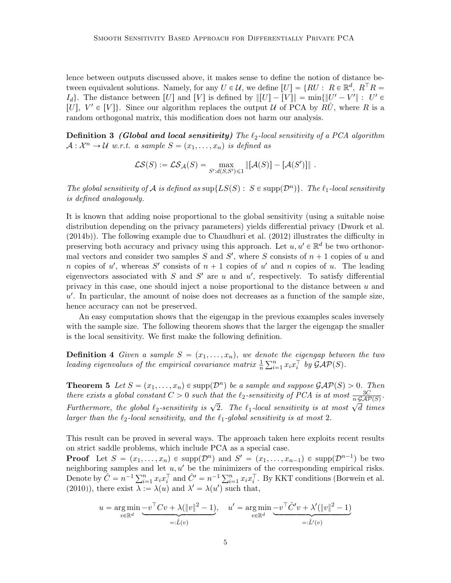lence between outputs discussed above, it makes sense to define the notion of distance between equivalent solutions. Namely, for any  $U \in \mathcal{U}$ , we define  $[U] = \{RU : R \in \mathbb{R}^d, R^\top R =$  $I_d$ . The distance between [U] and [V] is defined by  $\| [U] - [V] \| = \min \{ \| U' - V' \| : U' \in$ [U],  $V' \in [V]$ . Since our algorithm replaces the output U of PCA by  $R\hat{U}$ , where R is a random orthogonal matrix, this modification does not harm our analysis.

**Definition 3** (Global and local sensitivity) The  $\ell_2$ -local sensitivity of a PCA algorithm  $\mathcal{A}: \mathcal{X}^n \to \mathcal{U}$  w.r.t. a sample  $S = (x_1, \ldots, x_n)$  is defined as

$$
\mathcal{LS}(S) := \mathcal{LS}_{\mathcal{A}}(S) = \max_{S':d(S,S') \leq 1} \| [\mathcal{A}(S)] - [\mathcal{A}(S')] \|.
$$

The global sensitivity of A is defined as  $\sup\{LS(S): S \in \text{supp}(\mathcal{D}^n)\}\$ . The  $\ell_1$ -local sensitivity is defined analogously.

It is known that adding noise proportional to the global sensitivity (using a suitable noise distribution depending on the privacy parameters) yields differential privacy [\(Dwork et al.](#page-11-6) [\(2014b\)](#page-11-6)). The following example due to [Chaudhuri et al.](#page-11-5) [\(2012\)](#page-11-5) illustrates the difficulty in preserving both accuracy and privacy using this approach. Let  $u, u' \in \mathbb{R}^d$  be two orthonormal vectors and consider two samples  $S$  and  $S'$ , where  $S$  consists of  $n + 1$  copies of u and n copies of u', whereas S' consists of  $n + 1$  copies of u' and n copies of u. The leading eigenvectors associated with  $S$  and  $S'$  are  $u$  and  $u'$ , respectively. To satisfy differential privacy in this case, one should inject a noise proportional to the distance between  $u$  and  $u'$ . In particular, the amount of noise does not decreases as a function of the sample size, hence accuracy can not be preserved.

An easy computation shows that the eigengap in the previous examples scales inversely with the sample size. The following theorem shows that the larger the eigengap the smaller is the local sensitivity. We first make the following definition.

**Definition 4** Given a sample  $S = (x_1, \ldots, x_n)$ , we denote the eigengap between the two<br>leading eigenvalues of the empirical equations matrix  $\frac{1}{2} \sum_{n=1}^{n} x_n \sum_{k} b_k G_{k}(S)$ leading eigenvalues of the empirical covariance matrix  $\frac{1}{n} \sum_{i=1}^{n} x_i x_i^{\top}$  by  $\mathcal{GAP}(S)$ .

<span id="page-4-0"></span>**Theorem 5** Let  $S = (x_1, \ldots, x_n) \in \text{supp}(\mathcal{D}^n)$  be a sample and suppose  $\mathcal{GAP}(S) > 0$ . Then there exists a global constant  $C > 0$  such that the  $\ell_2$ -sensitivity of PCA is at most  $\frac{3C}{n \cdot \mathcal{G}AP(S)}$ . Furthermore, the global  $\ell_2$ -sensitivity is  $\sqrt{2}$ . The  $\ell_1$ -local sensitivity is at most  $\sqrt{d}$  times larger than the  $\ell_2$ -local sensitivity, and the  $\ell_1$ -global sensitivity is at most 2.

This result can be proved in several ways. The approach taken here exploits recent results on strict saddle problems, which include PCA as a special case.

**Proof** Let  $S = (x_1, \ldots, x_n) \in \text{supp}(\mathcal{D}^n)$  and  $S' = (x_1, \ldots, x_{n-1}) \in \text{supp}(\mathcal{D}^{n-1})$  be two neighboring samples and let  $u, u'$  be the minimizers of the corresponding empirical risks. neighboring samples and let  $u, u'$  be the minimizers of the corresponding empirical risks.<br>Denote by  $\hat{C} = n^{-1} \sum_{i=1}^{n} x_i x_i^{\top}$  and  $\hat{C}' = n^{-1} \sum_{i=1}^{n} x_i x_i^{\top}$ . By KKT conditions [\(Borwein et al.](#page-11-8) [\(2010\)](#page-11-8)), there exist  $\lambda := \lambda(u)$  and  $\lambda' = \lambda(u')$  such that,

$$
u = \underset{v \in \mathbb{R}^d}{\arg \min} \underbrace{-v^\top C v + \lambda (\|v\|^2 - 1)}_{=: \hat{L}(v)}, \quad u' = \underset{v \in \mathbb{R}^d}{\arg \min} \underbrace{-v^\top \hat{C}' v + \lambda' (\|v\|^2 - 1)}_{=: \hat{L}'(v)}
$$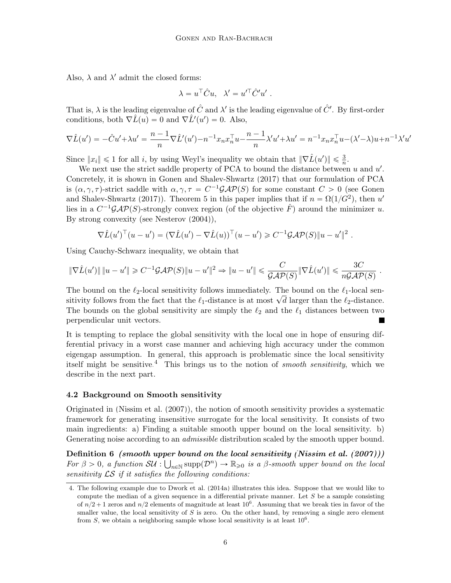Also,  $\lambda$  and  $\lambda'$  admit the closed forms:

$$
\lambda = u^{\top} \hat{C} u, \quad \lambda' = u'^{\top} \hat{C}' u' \ .
$$

That is,  $\lambda$  is the leading eigenvalue of  $\hat{C}$  and  $\lambda'$  is the leading eigenvalue of  $\hat{C}'$ . By first-order conditions, both  $\nabla \hat{L}(u) = 0$  and  $\nabla \hat{L}'(u') = 0$ . Also,

$$
\nabla \hat{L}(u') = -\hat{C}u' + \lambda u' = \frac{n-1}{n} \nabla \hat{L}'(u') - n^{-1} x_n x_n^{\top} u - \frac{n-1}{n} \lambda' u' + \lambda u' = n^{-1} x_n x_n^{\top} u - (\lambda' - \lambda) u + n^{-1} \lambda' u'
$$

Since  $||x_i|| \leq 1$  for all i, by using Weyl's inequality we obtain that  $||\nabla \hat{L}(u')|| \leq \frac{3}{n}$ .

We next use the strict saddle property of PCA to bound the distance between  $u$  and  $u'$ . Concretely, it is shown in [Gonen and Shalev-Shwartz](#page-12-8) [\(2017\)](#page-12-8) that our formulation of PCA is  $(\alpha, \gamma, \tau)$ -strict saddle with  $\alpha, \gamma, \tau = C^{-1}\mathcal{GAP}(S)$  for some constant  $C > 0$  (see [Gonen](#page-12-8) [and Shalev-Shwartz](#page-12-8) [\(2017\)](#page-12-8)). Theorem 5 in this paper implies that if  $n = \Omega(1/G^2)$ , then u' lies in a  $C^{-1}GAP(S)$ -strongly convex region (of the objective  $\hat{F}$ ) around the minimizer u. By strong convexity (see [Nesterov](#page-12-9) [\(2004\)](#page-12-9)),

$$
\nabla \hat{L}(u')^\top (u - u') = (\nabla \hat{L}(u') - \nabla \hat{L}(u))^\top (u - u') \geq C^{-1} \mathcal{G} \mathcal{A} \mathcal{P}(S) \|u - u'\|^2.
$$

Using Cauchy-Schwarz inequality, we obtain that

$$
\|\nabla \hat{L}(u')\| \|u - u'\| \geq C^{-1} \mathcal{G} \mathcal{A} \mathcal{P}(S) \|u - u'\|^2 \Rightarrow \|u - u'\| \leq C \frac{C}{\mathcal{G} \mathcal{A} \mathcal{P}(S)} \|\nabla \hat{L}(u')\| \leq \frac{3C}{n \mathcal{G} \mathcal{A} \mathcal{P}(S)}
$$

.

The bound on the  $\ell_2$ -local sensitivity follows immediately. The bound on the  $\ell_1$ -local sen-The bound on the  $\ell_2$ -local sensitivity follows immediately. The bound on the  $\ell_1$ -local sensitivity follows from the fact that the  $\ell_1$ -distance is at most  $\sqrt{d}$  larger than the  $\ell_2$ -distance. The bounds on the global sensitivity are simply the  $\ell_2$  and the  $\ell_1$  distances between two perpendicular unit vectors.

It is tempting to replace the global sensitivity with the local one in hope of ensuring differential privacy in a worst case manner and achieving high accuracy under the common eigengap assumption. In general, this approach is problematic since the local sensitivity itself might be sensitive.<sup>[4](#page-5-0)</sup> This brings us to the notion of *smooth sensitivity*, which we describe in the next part.

#### 4.2 Background on Smooth sensitivity

Originated in [\(Nissim et al.](#page-12-10) [\(2007\)](#page-12-10)), the notion of smooth sensitivity provides a systematic framework for generating insensitive surrogate for the local sensitivity. It consists of two main ingredients: a) Finding a suitable smooth upper bound on the local sensitivity. b) Generating noise according to an *admissible* distribution scaled by the smooth upper bound.

Definition  $6\,$  (smooth upper bound on the local sensitivity [\(Nissim et al.](#page-12-10) [\(2007\)](#page-12-10))) For  $\beta > 0$ , a function  $SU : \bigcup_{n \in \mathbb{N}} \text{supp}(\mathcal{D}^n) \to \mathbb{R}_{\geq 0}$  is a  $\beta$ -smooth upper bound on the local sensitivity  $\mathcal{LS}$  if it satisfies the following conditions:

<span id="page-5-0"></span><sup>4.</sup> The following example due to [Dwork et al.](#page-11-1) [\(2014a\)](#page-11-1) illustrates this idea. Suppose that we would like to compute the median of a given sequence in a differential private manner. Let  $S$  be a sample consisting of  $n/2 + 1$  zeros and  $n/2$  elements of magnitude at least  $10<sup>6</sup>$ . Assuming that we break ties in favor of the smaller value, the local sensitivity of  $S$  is zero. On the other hand, by removing a single zero element from  $S$ , we obtain a neighboring sample whose local sensitivity is at least  $10<sup>6</sup>$ .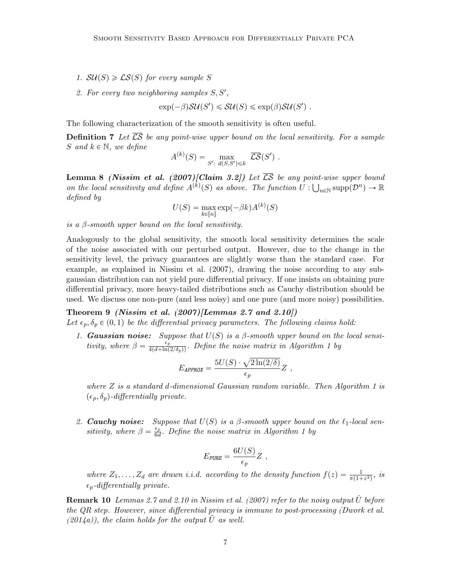- 1.  $SU(S) \geq \mathcal{LS}(S)$  for every sample S
- 2. For every two neighboring samples  $S, S'$ ,

 $\exp(-\beta)SU(S') \leq SU(S) \leq \exp(\beta)SU(S')$ .

The following characterization of the smooth sensitivity is often useful.

**Definition 7** Let  $\overline{CS}$  be any point-wise upper bound on the local sensitivity. For a sample S and  $k \in \mathbb{N}$ , we define

$$
A^{(k)}(S) = \max_{S': d(S,S') \leq k} \overline{\mathcal{LS}}(S') .
$$

<span id="page-6-0"></span>**Lemma 8** [\(Nissim et al.](#page-12-10) [\(2007\)](#page-12-10)[Claim 3.2]) Let  $\overline{\mathcal{LS}}$  be any point-wise upper bound on the local sensitivity and define  $A^{(k)}(S)$  as above. The function  $U: \bigcup_{n\in\mathbb{N}} \text{supp}(\mathcal{D}^n) \to \mathbb{R}$ defined by

$$
U(S) = \max_{k \in [n]} \exp(-\beta k) A^{(k)}(S)
$$

is a  $\beta$ -smooth upper bound on the local sensitivity.

Analogously to the global sensitivity, the smooth local sensitivity determines the scale of the noise associated with our perturbed output. However, due to the change in the sensitivity level, the privacy guarantees are slightly worse than the standard case. For example, as explained in [Nissim et al.](#page-12-10) [\(2007\)](#page-12-10), drawing the noise according to any subgaussian distribution can not yield pure differential privacy. If one insists on obtaining pure differential privacy, more heavy-tailed distributions such as Cauchy distribution should be used. We discuss one non-pure (and less noisy) and one pure (and more noisy) possibilities.

Theorem 9 [\(Nissim et al.](#page-12-10)  $(2007)/\text{Lemmas } 2.7$  $(2007)/\text{Lemmas } 2.7$  and  $2.10$ ) Let  $\epsilon_p, \delta_p \in (0, 1)$  be the differential privacy parameters. The following claims hold:

1. Gaussian noise: Suppose that  $U(S)$  is a  $\beta$ -smooth upper bound on the local sensitivity, where  $\beta = \frac{\epsilon_p^2}{4(d + \ln(2/\delta_p))}$ . Define the noise matrix in Algorithm [1](#page-2-0) by

<span id="page-6-1"></span>
$$
E_{APPROX} = \frac{5U(S) \cdot \sqrt{2\ln(2/\delta)}}{\epsilon_p} Z ,
$$

where  $Z$  is a standard d-dimensional Gaussian random variable. Then Algorithm [1](#page-2-0) is  $(\epsilon_p, \delta_p)$ -differentially private.

2. **Cauchy noise:** Suppose that  $U(S)$  is a  $\beta$ -smooth upper bound on the  $\ell_1$ -local sensitivity, where  $\beta = \frac{\epsilon_p}{6a}$  $\frac{\epsilon_p}{6d}$ . Define the noise matrix in Algorithm [1](#page-2-0) by

$$
E_{\text{PURE}} = \frac{6U(S)}{\epsilon_p} Z \text{ ,}
$$

where  $Z_1, \ldots, Z_d$  are drawn i.i.d. according to the density function  $f(z) = \frac{1}{\pi (1 + z^2)}$ , is  $\epsilon_p$ -differentially private.

**Remark 10** Lemmas 2.7 and 2.10 in [Nissim et al.](#page-12-10) [\(2007\)](#page-12-10) refer to the noisy output U before the QR step. However, since differential privacy is immune to post-processing [\(Dwork et al.](#page-11-1)  $(2014a)$ , the claim holds for the output U as well.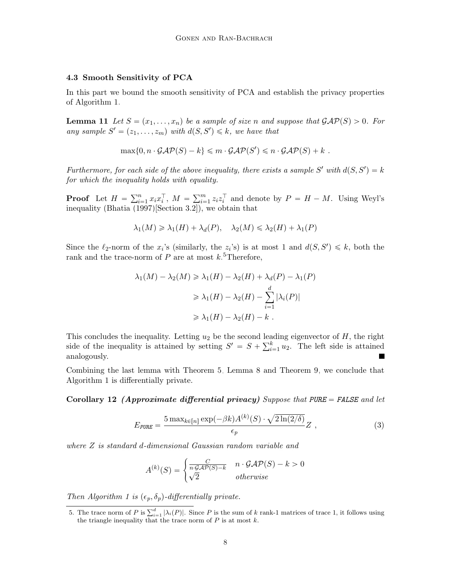#### 4.3 Smooth Sensitivity of PCA

In this part we bound the smooth sensitivity of PCA and establish the privacy properties of Algorithm [1.](#page-2-0)

**Lemma 11** Let  $S = (x_1, \ldots, x_n)$  be a sample of size n and suppose that  $\mathcal{GAP}(S) > 0$ . For any sample  $S' = (z_1, \ldots, z_m)$  with  $d(S, S') \leq k$ , we have that

$$
\max\{0, n \cdot \mathcal{GAP}(S) - k\} \leq m \cdot \mathcal{GAP}(S') \leq n \cdot \mathcal{GAP}(S) + k.
$$

Furthermore, for each side of the above inequality, there exists a sample S' with  $d(S, S') = k$ for which the inequality holds with equality.

**Proof** Let  $H = \sum_{i=1}^{n}$  $\sum_{i=1}^{n} x_i x_i^{\top}, M = \sum_{i=1}^{m}$  $\sum_{i=1}^{m} z_i z_i^{\top}$  and denote by  $P = H - M$ . Using Weyl's inequality [\(Bhatia](#page-11-9) [\(1997\)](#page-11-9)[Section 3.2]), we obtain that

$$
\lambda_1(M) \geq \lambda_1(H) + \lambda_d(P), \quad \lambda_2(M) \leq \lambda_2(H) + \lambda_1(P)
$$

Since the  $\ell_2$ -norm of the  $x_i$ 's (similarly, the  $z_i$ 's) is at most 1 and  $d(S, S') \leq k$ , both the rank and the trace-norm of  $P$  are at most  $k$ .<sup>[5](#page-7-1)</sup>Therefore,

$$
\lambda_1(M) - \lambda_2(M) \ge \lambda_1(H) - \lambda_2(H) + \lambda_d(P) - \lambda_1(P)
$$
  
\n
$$
\ge \lambda_1(H) - \lambda_2(H) - \sum_{i=1}^d |\lambda_i(P)|
$$
  
\n
$$
\ge \lambda_1(H) - \lambda_2(H) - k.
$$

This concludes the inequality. Letting  $u_2$  be the second leading eigenvector of  $H$ , the right This concludes the inequality. Letting  $u_2$  be the second lease idea is side of the inequality is attained by setting  $S' = S + \sum_{i=1}^{k}$  $\sum_{i=1}^{k} u_2$ . The left side is attained analogously. П

Combining the last lemma with Theorem [5,](#page-4-0) Lemma [8](#page-6-0) and Theorem [9,](#page-6-1) we conclude that Algorithm [1](#page-2-0) is differentially private.

<span id="page-7-0"></span>Corollary 12 (Approximate differential privacy) Suppose that PURE = FALSE and let

<span id="page-7-2"></span>
$$
E_{\text{PURE}} = \frac{5 \max_{k \in [n]} \exp(-\beta k) A^{(k)}(S) \cdot \sqrt{2 \ln(2/\delta)}}{\epsilon_p} Z \tag{3}
$$

where Z is standard d-dimensional Gaussian random variable and

$$
A^{(k)}(S) = \begin{cases} \frac{C}{n \cdot \mathcal{G} \mathcal{A} \mathcal{P}(S) - k} & n \cdot \mathcal{G} \mathcal{A} \mathcal{P}(S) - k > 0\\ \sqrt{2} & otherwise \end{cases}
$$

Then Algorithm [1](#page-2-0) is  $(\epsilon_p, \delta_p)$ -differentially private.

<span id="page-7-3"></span><span id="page-7-1"></span><sup>5.</sup> The trace norm of P is  $\sum_{i=1}^{d} |\lambda_i(P)|$ . Since P is the sum of k rank-1 matrices of trace 1, it follows using the triangle inequality that the trace norm of  $P$  is at most  $k$ .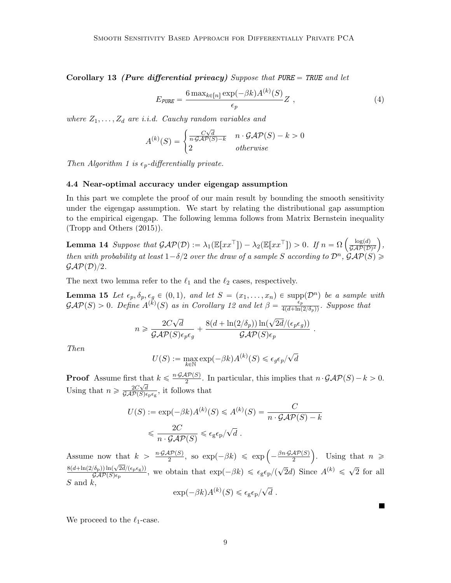Corollary 13 (Pure differential privacy) Suppose that PURE = TRUE and let

<span id="page-8-0"></span>
$$
E_{\text{PURE}} = \frac{6 \max_{k \in [n]} \exp(-\beta k) A^{(k)}(S)}{\epsilon_p} Z \tag{4}
$$

<span id="page-8-2"></span>.

 $\blacksquare$ 

where  $Z_1, \ldots, Z_d$  are i.i.d. Cauchy random variables and

$$
A^{(k)}(S) = \begin{cases} \frac{C\sqrt{d}}{n \cdot \mathcal{G} \mathcal{A} \mathcal{P}(S) - k} & n \cdot \mathcal{G} \mathcal{A} \mathcal{P}(S) - k > 0\\ 2 & otherwise \end{cases}
$$

Then Algorithm [1](#page-2-0) is  $\epsilon_p$ -differentially private.

#### 4.4 Near-optimal accuracy under eigengap assumption

In this part we complete the proof of our main result by bounding the smooth sensitivity under the eigengap assumption. We start by relating the distributional gap assumption to the empirical eigengap. The following lemma follows from Matrix Bernstein inequality [\(Tropp and Others](#page-12-11) [\(2015\)](#page-12-11)).

**Lemma 14** Suppose that  $\mathcal{GAP}(\mathcal{D}): = \lambda_1(\mathbb{E}[xx^\top]) - \lambda_2(\mathbb{E}[xx^\top]) > 0$ . If  $n = \Omega$  $log(d)$  $\overline{\mathcal{GAP}(\mathcal{D})^2}$ , then with probability at least  $1-\delta/2$  over the draw of a sample S according to  $\mathcal{D}^n$ ,  $\mathcal{GAP}(S) \geq$  $\mathcal{GAP(D)}/2.$ 

The next two lemma refer to the  $\ell_1$  and the  $\ell_2$  cases, respectively.

**Lemma 15** Let  $\epsilon_p, \delta_p, \epsilon_q \in (0, 1)$ , and let  $S = (x_1, \ldots, x_n) \in \text{supp}(\mathcal{D}^n)$  be a sample with  $\mathcal{GAP}(S) > 0$ . Define  $A^{(\breve{k})}(S)$  as in Corollary [12](#page-7-2) and let  $\beta = \frac{\epsilon_p}{4(d + \ln(2/\delta_p))}$ . Suppose that

<span id="page-8-1"></span>
$$
n \geqslant \frac{2C\sqrt{d}}{\mathcal{GAP}(S)\epsilon_p \epsilon_g} + \frac{8(d + \ln(2/\delta_p))\ln(\sqrt{2d}/(\epsilon_p \epsilon_g))}{\mathcal{GAP}(S)\epsilon_p}
$$

Then

$$
U(S) := \max_{k \in \mathbb{N}} \exp(-\beta k) A^{(k)}(S) \leq \epsilon_g \epsilon_p / \sqrt{d}
$$

**Proof** Assume first that  $k \leq \frac{n \cdot \mathcal{GAP}(S)}{2}$  $\frac{dP(S)}{2}$ . In particular, this implies that  $n \cdot \mathcal{GAP}(S) - k > 0$ . Using that  $n \geqslant \frac{2C\sqrt{d}}{GAP(S)e}$  $\frac{2C\sqrt{d}}{\mathcal{GAP}(S)\epsilon_{\rm p}\epsilon_{\rm g}}$ , it follows that

$$
U(S) := \exp(-\beta k) A^{(k)}(S) \le A^{(k)}(S) = \frac{C}{n \cdot \mathcal{GAP}(S) - k}
$$
  

$$
\le \frac{2C}{n \cdot \mathcal{GAP}(S)} \le \epsilon_{g} \epsilon_{p} / \sqrt{d}.
$$

Assume now that  $k > \frac{n \cdot \mathcal{GAP}(S)}{2}$  $\frac{dP(S)}{2}$ , so exp $(-\beta k) \le \exp\left(-\frac{\beta n \cdot \mathcal{GAP}(S)}{2}\right)$ 2 . Using that  $n \geqslant$  $8(d+\ln(2/\delta_{\rm p}))\ln(\sqrt{2d}/(\epsilon_{\rm p}\epsilon_{\rm g}))$  $\frac{\sqrt{\delta_p}}{\mathcal{GAP}(S)\epsilon_p}$ , we obtain that  $\exp(-\beta k) \leq \frac{\epsilon_g \epsilon_p}{(\sqrt{2}d)}$  Since  $A^{(k)} \leq \sqrt{\epsilon_p}$ 2 for all  $S$  and  $k$ ,  $\mathbb{R}$ 

<span id="page-8-3"></span>
$$
\exp(-\beta k)A^{(k)}(S) \leq \epsilon_{\rm g}\epsilon_{\rm p}/\sqrt{d}.
$$

We proceed to the  $\ell_1$ -case.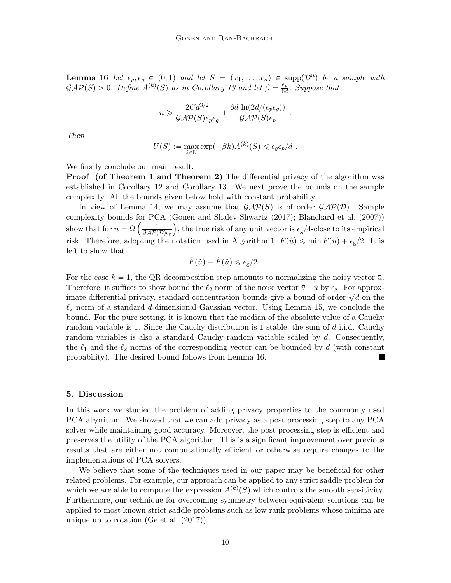**Lemma 16** Let  $\epsilon_p, \epsilon_g \in (0, 1)$  and let  $S = (x_1, \ldots, x_n) \in \text{supp}(\mathcal{D}^n)$  be a sample with  $\mathcal{GAP}(S) > 0$ . Define  $A^{(k)}(S)$  as in Corollary [13](#page-7-3) and let  $\beta = \frac{\epsilon_p}{66}$  $rac{\epsilon_p}{6d}$ . Suppose that

$$
n \geqslant \frac{2Cd^{3/2}}{\mathcal{GAP}(S)\epsilon_p\epsilon_g} + \frac{6d\,\ln(2d/(\epsilon_p\epsilon_g))}{\mathcal{GAP}(S)\epsilon_p} \; .
$$

Then

$$
U(S) := \max_{k \in \mathbb{N}} \exp(-\beta k) A^{(k)}(S) \leq \epsilon_g \epsilon_p / d.
$$

We finally conclude our main result.

**Proof** (of Theorem [1](#page-2-2) and Theorem [2\)](#page-2-3) The differential privacy of the algorithm was established in Corollary [12](#page-7-2) and Corollary [13.](#page-7-3) We next prove the bounds on the sample complexity. All the bounds given below hold with constant probability.

In view of Lemma [14,](#page-8-1) we may assume that  $\mathcal{GAP}(S)$  is of order  $\mathcal{GAP}(D)$ . Sample complexity bounds for PCA [\(Gonen and Shalev-Shwartz](#page-12-8) [\(2017\)](#page-12-8); [Blanchard et al.](#page-11-10) [\(2007\)](#page-11-10)) show that for  $n = \Omega \left( \frac{1}{\overline{GAP}} \right)$  $\frac{1}{\mathcal{GAP(D)\epsilon_{g}}}$ , the true risk of any unit vector is  $\epsilon_{g}/4$ -close to its empirical risk. Therefore, adopting the notation used in Algorithm [1,](#page-2-0)  $F(\hat{u}) \leq \min F(u) + \epsilon_{g}/2$ . It is left to show that

$$
\hat{F}(\tilde{u}) - \hat{F}(\hat{u}) \leqslant \epsilon_{\rm g}/2.
$$

For the case  $k = 1$ , the QR decomposition step amounts to normalizing the noisy vector  $\bar{u}$ . Therefore, it suffices to show bound the  $\ell_2$  norm of the noise vector  $\bar{u}-\hat{u}$  by  $\epsilon_g$ . For approximate differential privacy, standard concentration bounds give a bound of order  $\sqrt{d}$  on the integral privacy, standard concentration bounds give a bound of order  $\sqrt{d}$  on the  $\ell_2$  norm of a standard d-dimensional Gaussian vector. Using Lemma [15,](#page-8-2) we conclude the bound. For the pure setting, it is known that the median of the absolute value of a Cauchy random variable is 1. Since the Cauchy distribution is 1-stable, the sum of  $d$  i.i.d. Cauchy random variables is also a standard Cauchy random variable scaled by d. Consequently, the  $\ell_1$  and the  $\ell_2$  norms of the corresponding vector can be bounded by d (with constant probability). The desired bound follows from Lemma [16.](#page-8-3)

#### 5. Discussion

In this work we studied the problem of adding privacy properties to the commonly used PCA algorithm. We showed that we can add privacy as a post processing step to any PCA solver while maintaining good accuracy. Moreover, the post processing step is efficient and preserves the utility of the PCA algorithm. This is a significant improvement over previous results that are either not computationally efficient or otherwise require changes to the implementations of PCA solvers.

We believe that some of the techniques used in our paper may be beneficial for other related problems. For example, our approach can be applied to any strict saddle problem for which we are able to compute the expression  $A^{(k)}(S)$  which controls the smooth sensitivity. Furthermore, our technique for overcoming symmetry between equivalent solutions can be applied to most known strict saddle problems such as low rank problems whose minima are unique up to rotation [\(Ge et al.](#page-11-11) [\(2017\)](#page-11-11)).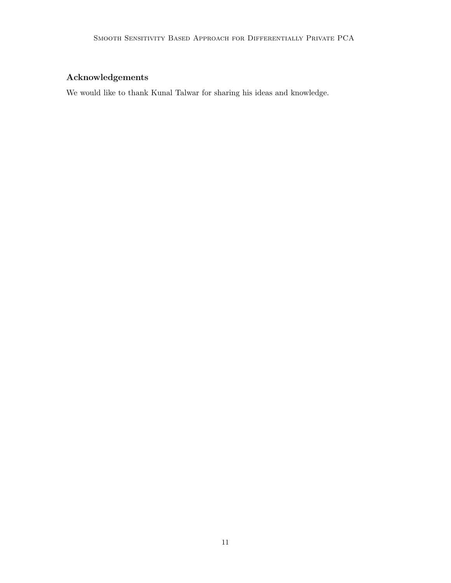## Acknowledgements

We would like to thank Kunal Talwar for sharing his ideas and knowledge.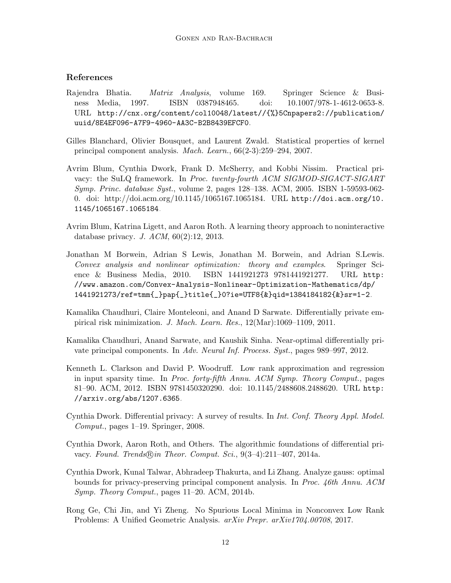### References

- <span id="page-11-9"></span>Rajendra Bhatia. Matrix Analysis, volume 169. Springer Science & Business Media, 1997. ISBN 0387948465. doi: 10.1007/978-1-4612-0653-8. URL [http://cnx.org/content/col10048/latest//{%}5Cnpapers2://publication/](http://cnx.org/content/col10048/latest//{%}5Cnpapers2://publication/uuid/8E4EF096-A7F9-4960-AA3C-B2B8439EFCF0) [uuid/8E4EF096-A7F9-4960-AA3C-B2B8439EFCF0](http://cnx.org/content/col10048/latest//{%}5Cnpapers2://publication/uuid/8E4EF096-A7F9-4960-AA3C-B2B8439EFCF0).
- <span id="page-11-10"></span>Gilles Blanchard, Olivier Bousquet, and Laurent Zwald. Statistical properties of kernel principal component analysis. Mach. Learn., 66(2-3):259–294, 2007.
- <span id="page-11-4"></span>Avrim Blum, Cynthia Dwork, Frank D. McSherry, and Kobbi Nissim. Practical privacy: the SuLQ framework. In Proc. twenty-fourth ACM SIGMOD-SIGACT-SIGART Symp. Princ. database Syst., volume 2, pages 128–138. ACM, 2005. ISBN 1-59593-062- 0. doi: http://doi.acm.org/10.1145/1065167.1065184. URL [http://doi.acm.org/10.](http://doi.acm.org/10.1145/1065167.1065184) [1145/1065167.1065184](http://doi.acm.org/10.1145/1065167.1065184).
- <span id="page-11-3"></span>Avrim Blum, Katrina Ligett, and Aaron Roth. A learning theory approach to noninteractive database privacy. J. ACM, 60(2):12, 2013.
- <span id="page-11-8"></span>Jonathan M Borwein, Adrian S Lewis, Jonathan M. Borwein, and Adrian S.Lewis. Convex analysis and nonlinear optimization: theory and examples. Springer Science & Business Media, 2010. ISBN 1441921273 9781441921277. URL [http:](http://www.amazon.com/Convex-Analysis-Nonlinear-Optimization-Mathematics/dp/1441921273/ref=tmm{_}pap{_}title{_}0?ie=UTF8{&}qid=1384184182{&}sr=1-2) [//www.amazon.com/Convex-Analysis-Nonlinear-Optimization-Mathematics/dp/](http://www.amazon.com/Convex-Analysis-Nonlinear-Optimization-Mathematics/dp/1441921273/ref=tmm{_}pap{_}title{_}0?ie=UTF8{&}qid=1384184182{&}sr=1-2) [1441921273/ref=tmm{\\_}pap{\\_}title{\\_}0?ie=UTF8{&}qid=1384184182{&}sr=1-2](http://www.amazon.com/Convex-Analysis-Nonlinear-Optimization-Mathematics/dp/1441921273/ref=tmm{_}pap{_}title{_}0?ie=UTF8{&}qid=1384184182{&}sr=1-2).
- <span id="page-11-2"></span>Kamalika Chaudhuri, Claire Monteleoni, and Anand D Sarwate. Differentially private empirical risk minimization. J. Mach. Learn. Res., 12(Mar):1069–1109, 2011.
- <span id="page-11-5"></span>Kamalika Chaudhuri, Anand Sarwate, and Kaushik Sinha. Near-optimal differentially private principal components. In Adv. Neural Inf. Process. Syst., pages 989–997, 2012.
- <span id="page-11-7"></span>Kenneth L. Clarkson and David P. Woodruff. Low rank approximation and regression in input sparsity time. In Proc. forty-fifth Annu. ACM Symp. Theory Comput., pages 81–90. ACM, 2012. ISBN 9781450320290. doi: 10.1145/2488608.2488620. URL [http:](http://arxiv.org/abs/1207.6365) [//arxiv.org/abs/1207.6365](http://arxiv.org/abs/1207.6365).
- <span id="page-11-0"></span>Cynthia Dwork. Differential privacy: A survey of results. In Int. Conf. Theory Appl. Model. Comput., pages 1–19. Springer, 2008.
- <span id="page-11-1"></span>Cynthia Dwork, Aaron Roth, and Others. The algorithmic foundations of differential privacy. Found. Trends $\mathbb{R}$ in Theor. Comput. Sci., 9(3–4):211–407, 2014a.
- <span id="page-11-6"></span>Cynthia Dwork, Kunal Talwar, Abhradeep Thakurta, and Li Zhang. Analyze gauss: optimal bounds for privacy-preserving principal component analysis. In Proc. 46th Annu. ACM Symp. Theory Comput., pages 11–20. ACM, 2014b.
- <span id="page-11-11"></span>Rong Ge, Chi Jin, and Yi Zheng. No Spurious Local Minima in Nonconvex Low Rank Problems: A Unified Geometric Analysis. arXiv Prepr. arXiv1704.00708, 2017.